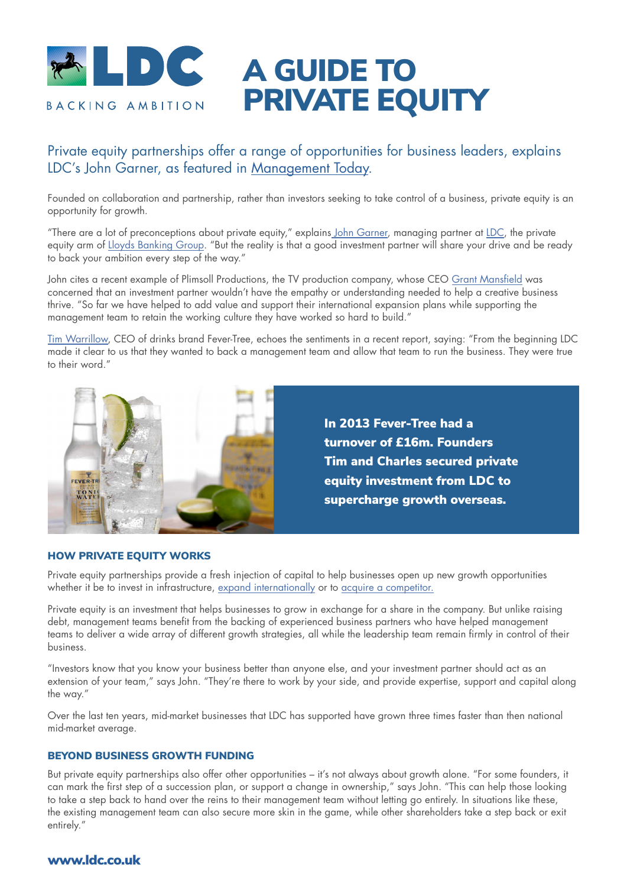

# A GUIDE TO PRIVATE EQUITY

## Private equity partnerships offer a range of opportunities for business leaders, explains LDC's John Garner, as featured in [Management Today.](https://www.managementtoday.co.uk/strong-partnerships-introduction-private-equity/smes/article/1753400)

Founded on collaboration and partnership, rather than investors seeking to take control of a business, private equity is an opportunity for growth.

"There are a lot of preconceptions about private equity," explains [John Garner,](https://ldc.co.uk/team/john-garner/) managing partner at [LDC,](https://www.ldc.co.uk) the private equity arm of [Lloyds Banking Group.](https://www.lloydsbankinggroup.com/who-we-are/our-brands/ldc.html) "But the reality is that a good investment partner will share your drive and be ready to back your ambition every step of the way."

John cites a recent example of Plimsoll Productions, the TV production company, whose CEO [Grant Mansfield](https://ldc.co.uk/news/my-first-year-with-a-private-equity-partner-by-grant-mansfield-founder-of-plimsoll-productions/) was concerned that an investment partner wouldn't have the empathy or understanding needed to help a creative business thrive. "So far we have helped to add value and support their international expansion plans while supporting the management team to retain the working culture they have worked so hard to build."

[Tim Warrillow](https://ldc.co.uk/news/ask-the-leader-tim-warrillow-co-founder-and-ceo-of-fever-tree/), CEO of drinks brand Fever-Tree, echoes the sentiments in a recent report, saying: "From the beginning LDC made it clear to us that they wanted to back a management team and allow that team to run the business. They were true to their word."



#### HOW PRIVATE EQUITY WORKS

Private equity partnerships provide a fresh injection of capital to help businesses open up new growth opportunities whether it be to invest in infrastructure, [expand internationally](https://ldc.co.uk/the-year-ahead-at-forty/supporting-international-expansion/) or to [acquire a competito](https://ldc.co.uk/resources/buy-and-build-private-equity/)r.

Private equity is an investment that helps businesses to grow in exchange for a share in the company. But unlike raising debt, management teams benefit from the backing of experienced business partners who have helped management teams to deliver a wide array of different growth strategies, all while the leadership team remain firmly in control of their business.

"Investors know that you know your business better than anyone else, and your investment partner should act as an extension of your team," says John. "They're there to work by your side, and provide expertise, support and capital along the way."

Over the last ten years, mid-market businesses that LDC has supported have grown three times faster than then national mid-market average.

### BEYOND BUSINESS GROWTH FUNDING

But private equity partnerships also offer other opportunities – it's not always about growth alone. "For some founders, it can mark the first step of a succession plan, or support a change in ownership," says John. "This can help those looking to take a step back to hand over the reins to their management team without letting go entirely. In situations like these, the existing management team can also secure more skin in the game, while other shareholders take a step back or exit entirely."

### www.ldc.co.uk